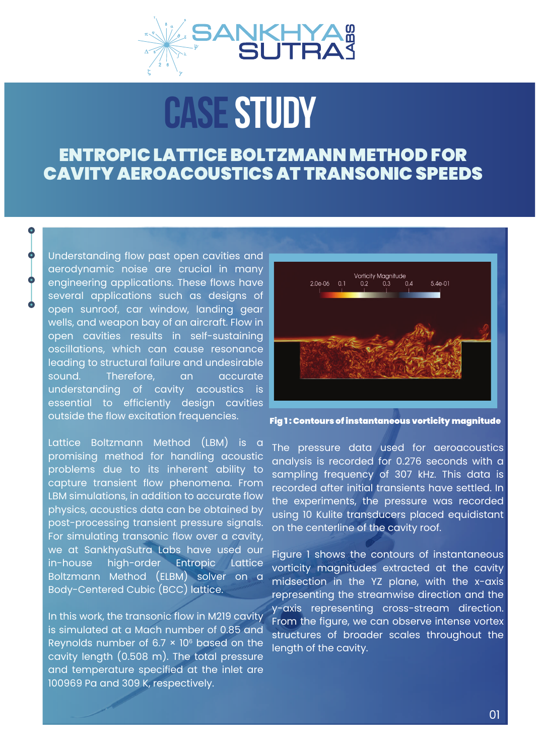

## CASE STUDY

## ENTROPIC LATTICE BOLTZMANN METHOD FOR CAVITY AEROACOUSTICS AT TRANSONIC SPEEDS

Understanding flow past open cavities and aerodynamic noise are crucial in many engineering applications. These flows have several applications such as designs of open sunroof, car window, landing gear wells, and weapon bay of an aircraft. Flow in open cavities results in self-sustaining oscillations, which can cause resonance leading to structural failure and undesirable sound. Therefore, an accurate understanding of cavity acoustics is essential to efficiently design cavities outside the flow excitation frequencies.

Lattice Boltzmann Method (LBM) is a promising method for handling acoustic problems due to its inherent ability to capture transient flow phenomena. From LBM simulations, in addition to accurate flow physics, acoustics data can be obtained by post-processing transient pressure signals. For simulating transonic flow over a cavity, we at SankhyaSutra Labs have used our in-house high-order Entropic Lattice Boltzmann Method (ELBM) solver on a Body-Centered Cubic (BCC) lattice.

In this work, the transonic flow in M219 cavity is simulated at a Mach number of 0.85 and Reynolds number of 6.7  $\times$  10 $^{\circ}$  based on the cavity length (0.508 m). The total pressure and temperature specified at the inlet are 100969 Pa and 309 K, respectively.



Fig 1 : Contours of instantaneous vorticity magnitude

The pressure data used for aeroacoustics analysis is recorded for 0.276 seconds with a sampling frequency of 307 kHz. This data is recorded after initial transients have settled. In the experiments, the pressure was recorded using 10 Kulite transducers placed equidistant on the centerline of the cavity roof.

Figure 1 shows the contours of instantaneous vorticity magnitudes extracted at the cavity midsection in the YZ plane, with the x-axis representing the streamwise direction and the y-axis representing cross-stream direction. From the figure, we can observe intense vortex structures of broader scales throughout the length of the cavity.